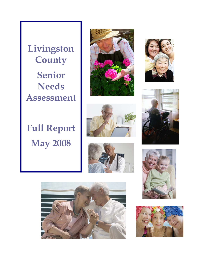**Livingston County Senior Needs Assessment** 

# **Full Report May 2008**













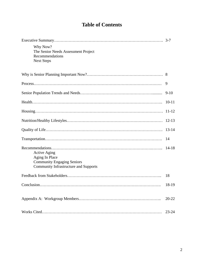# **Table of Contents**

|                                                                                                                            | $3 - 7$   |
|----------------------------------------------------------------------------------------------------------------------------|-----------|
| Why Now?<br>The Senior Needs Assessment Project<br>Recommendations<br><b>Next Steps</b>                                    |           |
|                                                                                                                            |           |
|                                                                                                                            | 9         |
|                                                                                                                            | $9-10$    |
|                                                                                                                            | $10 - 11$ |
| Housing                                                                                                                    | $11 - 12$ |
|                                                                                                                            | $12 - 13$ |
|                                                                                                                            | $13 - 14$ |
|                                                                                                                            | 14        |
| <b>Active Aging</b><br>Aging In Place<br><b>Community Engaging Seniors</b><br><b>Community Infrastructure and Supports</b> | $14 - 18$ |
|                                                                                                                            | 18        |
|                                                                                                                            | 18-19     |
|                                                                                                                            | $20 - 22$ |
|                                                                                                                            | $23 - 24$ |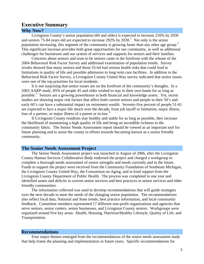# <span id="page-2-1"></span>**Executive Summary Why Now?**

<span id="page-2-0"></span>Livingston County's senior population (60 and older) is expected to increase 216% by 2030 and seniors  $75-84$  years old are expected to increase  $292\%$  by  $2030$ .<sup>[1](#page-2-0)</sup> Not only is the senior population increasing, this segment of the community is growing faster than any other age group.<sup>[2](#page-2-1)</sup> This significant increase provides both great opportunities for our community, as well as additional challenges for businesses and our system of services and supports for seniors and their families.

Concerns about seniors and soon to be seniors came to the forefront with the release of the 2004 Behavioral Risk Factor Survey and additional examination of population trends. Survey results showed that many seniors and those 55-64 had serious health risks that could lead to limitations in quality of life and possible admission to long term care facilities. In addition to the Behavioral Risk Factor Survey, a Livingston County United Way survey indicated that senior issues were one of the top priorities for local residents.

It is not surprising that senior issues are on the forefront of the community's thoughts. In a 2003 AARP study, 85% of people 45 and older wished to stay in their own home for as long as possible.<sup>[3](#page-2-1)</sup> Seniors are a growing powerhouse in both financial and knowledge assets. Yet, recent studies are showing major risk factors that affect both current seniors and people in their 50's and early 60's can have a substantial impact on retirement wealth. Seventy-five percent of people 51-61 are expected to face a major life shock over the decade, from job layoff or limitation, major illness, loss of a partner, or major illness of a parent or in-law. $4$ 

 If Livingston County residents stay healthy and stable for as long as possible, they increase the likelihood of maintaining a high quality of life and bring an incredible richness to the community fabric. The Senior Needs Assessment report should be viewed as an important tool for future planning and to assist the county in efforts towards becoming known as a senior friendly community.

## **The Senior Needs Assessment Project**

The Senior Needs Assessment project was launched in August of 2006, after the Livingston County Human Services Collaborative Body endorsed the project and charged a workgroup to complete a thorough needs assessment of senior strengths and needs currently and in the future. Funds to support the project were received from the Community Foundation of Southeast Michigan, the Livingston County United Way, the Consortium on Aging, and in kind support from the Livingston County Department of Public Health. The process was completed in one year and identified assets and deficits in current senior services and best practices in senior services and elder friendly communities.

The information collected was used to develop recommendations that will guide strategies over the next decade to meet the needs of the changing senior population. The recommendations also reflect local data, National and State trends, best practice information, and local community feedback. Committee members represented 17 different non-profit organizations and agencies that serve seniors, senior centers, senior businesses, and Livingston County seniors. Workgroups were organized around five key areas: Health, Housing, Nutrition/Healthy Lifestyle, Quality of Life, and Transportation.

#### **Recommendations**

Four major themes emerged from the recommendations of the senior needs assessment study that help frame the planning and implementation in future years. Specific recommendations for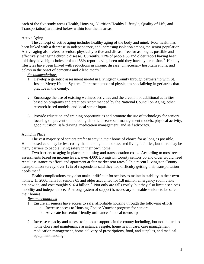<span id="page-3-0"></span>each of the five study areas (Health, Housing, Nutrition/Healthy Lifestyle, Quality of Life, and Transportation) are listed below within four theme areas.

# Active Aging

The concept of active aging includes healthy aging of the body and mind. Poor health has been linked with a decrease in independence, and increasing isolation among the senior population. Active aging also refers to seniors physically active and disease free for as long as possible and effectively managing chronic disease. Currently, 72% of people 65 and older report having been told they have high cholesterol and [5](#page-2-1)8% report having been told they have hypertension.<sup>5</sup> Healthy lifestyles have been linked with reductions in chronic disease, unnecessary hospitalizations, and delays in the onset of dementia and Alzheimer's.<sup>[6](#page-2-1)</sup>

# *Recommendations*

- 1. Develop a geriatric assessment model in Livingston County through partnership with St. Joseph Mercy Health System. Increase number of physicians specializing in geriatrics that practice in the county.
- 2. Encourage the use of existing wellness activities and the creation of additional activities based on programs and practices recommended by the National Council on Aging, other research based models, and local senior input.
- 3. Provide education and training opportunities and promote the use of technology for seniors focusing on prevention including chronic disease self management models, physical activity, good nutrition, safe driving, medication management, and self advocacy.

# Aging in Place

The vast majority of seniors prefer to stay in their home of choice for as long as possible. Home-based care may be less costly than nursing home or assisted living facilities, but there may be many barriers to people living safely in their own home.

Two barriers to aging in place are housing and transportation costs. According to most recent assessments based on income levels, over 4,000 Livingston County seniors 65 and older would need rental assistance to afford and apartment at fair market rent rates.<sup>[7](#page-2-1)</sup> In a recent Livingston County transportation survey, over 12% of respondents said they had difficulty getting their transportation needs met.<sup>[8](#page-2-1)</sup>

Health complications may also make it difficult for seniors to maintain stability in their own homes. In 2000, falls for seniors 65 and older accounted for 1.8 million emergency room visits nationwide, and cost roughly \$16.4 billion.<sup>[9](#page-2-1)</sup> Not only are falls costly, but they also limit a senior's mobility and independence. A strong system of support is necessary to enable seniors to be safe in their homes.

- 1. Ensure all seniors have access to safe, affordable housing through the following efforts:
	- a. Increase access to Housing Choice Voucher program for seniors
	- b. Advocate for senior friendly ordinances in local townships
- 2. Increase capacity and access to in-home supports in the county including, but not limited to home chore and maintenance assistance, respite, home health care, case management, medication management, home delivery of prescriptions, food, and supplies, and medical equipment lending.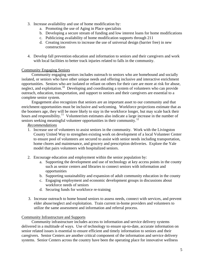- 3. Increase availability and use of home modification by:
	- a. Promoting the use of Aging in Place specialists
	- b. Developing a secure stream of funding and low interest loans for home modifications
	- c. Publicizing availability of home modification supports through 211
	- d. Creating incentives to increase the use of universal design (barrier free) in new construction
- 4. Develop fall prevention education and information to seniors and their caregivers and work with local facilities to better track injuries related to falls in the community.

# Community Engaging Seniors

Community engaging seniors includes outreach to seniors who are homebound and socially isolated, or seniors who have other unique needs and offering inclusive and interactive enrichment opportunities. Seniors who are isolated or reliant on others for their care are more at risk for abuse, neglect, and exploitation.<sup>[10](#page-2-1)</sup> Developing and coordinating a system of volunteers who can provide outreach, education, transportation, and support to seniors and their caregivers are essential to a complete senior system.

Engagement also recognizes that seniors are an important asset to our community and that enrichment opportunities must be inclusive and welcoming. Workforce projections estimate that as the boomers age, they will be more likely to stay in the workforce longer, but may scale back their hours and responsibility.<sup>[11](#page-2-1)</sup> Volunteerism estimates also indicate a large increase in the number of seniors seeking meaningful volunteer opportunities in their community.<sup>[12](#page-2-1)</sup>

# *Recommendations*

- 1. Increase use of volunteers to assist seniors in the community. Work with the Livingston County United Way to strengthen existing work on development of a local Volunteer Center to ensure pool of volunteers are secured to assist with senior needs including transportation, home chores and maintenance, and grocery and prescription deliveries. Explore the Yale model that pairs volunteers with hospitalized seniors.
- 2. Encourage education and employment within the senior population by:
	- a. Supporting the development and use of technology at key access points in the county such as senior centers and libraries to connect seniors with information and opportunities
	- b. Supporting sustainability and expansion of adult community education in the county
	- c. Engaging employment and economic development groups in discussions about workforce needs of seniors
	- d. Securing funds for workforce re-training
- 3. Increase outreach to home bound seniors to assess needs, connect with services, and prevent elder abuse/neglect and exploitation. Train current in-home providers and volunteers to utilize the same assessment and information and referral process.

## Community Infrastructure and Supports

 Community infrastructure includes access to information and service delivery systems delivered in a multitude of ways. Use of technology to ensure up-to-date, accurate information on senior related issues is essential to ensure efficient and timely information to seniors and their caregivers. Senior Centers are another critical component of the information and service delivery systems. Senior Centers across the country have been the operating place for innovative wellness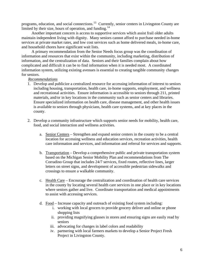programs, education, and social connections.<sup>[13](#page-2-1)</sup> Currently, senior centers in Livingston County are limited by their size, hours of operation, and funding.<sup>[14](#page-2-1)</sup>

 Another important concern is access to supportive services which assist frail older adults maintain independent living with dignity. Many seniors cannot afford to purchase needed in-home services at private market rates, and low cost services such as home delivered meals, in-home care, and household chores have significant wait lists.

 A primary recommendation from the Senior Needs focus group was the coordination of information and resources that exist within the community, including marketing, distribution of information, and the centralization of data. Seniors and their families complain about how complicated and difficult it can be to find information when it is needed most. A coordinated information system, utilizing existing avenues is essential to creating tangible community changes for seniors.

- 1. Develop and publicize a centralized resource for accessing information of interest to seniors including housing, transportation, health care, in-home supports, employment, and wellness and recreational activities. Ensure information is accessible to seniors through 211, printed materials, and/or in key locations in the community such as senior centers and libraries. Ensure specialized information on health care, disease management, and other health issues is available to seniors through physicians, health care systems, and at key places in the county.
- 2. Develop a community infrastructure which supports senior needs for mobility, health care, food, and social interaction and wellness activities.
	- a. Senior Centers Strengthen and expand senior centers in the county to be a central location for accessing wellness and education services, recreation activities, health care information and services, and information and referral for services and supports.
	- b. Transportation Develop a comprehensive public and private transportation system based on the Michigan Senior Mobility Plan and recommendations from The Corradino Group that includes 24/7 services, fixed routes, reflective lines, larger letters on street signs, and development of accessible pedestrian sidewalks and crossings to ensure a walkable community.
	- c. Health Care Encourage the centralization and coordination of health care services in the county by locating several health care services in one place or in key locations where seniors gather and live. Coordinate transportation and medical appointments to assist with accessing services.
	- d. Food Increase capacity and outreach of existing food system including:
		- i. working with local grocers to provide grocery deliver and online or phone shopping lists
		- ii. providing magnifying glasses in stores and ensuring signs are easily read by seniors
		- iii. advocating for changes in label colors and readability
		- iv. partnering with local farmers markets to develop a Senior Project Fresh Project in Livingston County.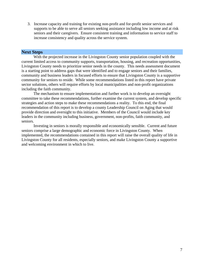3. Increase capacity and training for existing non-profit and for-profit senior services and supports to be able to serve all seniors seeking assistance including low income and at risk seniors and their caregivers. Ensure consistent training and information to service staff to increase consistency and quality across the service system.

# **Next Steps**

With the projected increase in the Livingston County senior population coupled with the current limited access to community supports, transportation, housing, and recreation opportunities, Livingston County needs to prioritize senior needs in the county. This needs assessment document is a starting point to address gaps that were identified and to engage seniors and their families, community and business leaders in focused efforts to ensure that Livingston County is a supportive community for seniors to reside. While some recommendations listed in this report have private sector solutions, others will require efforts by local municipalities and non-profit organizations including the faith community.

The mechanism to ensure implementation and further work is to develop an oversight committee to take these recommendations, further examine the current system, and develop specific strategies and action steps to make these recommendations a reality. To this end, the final recommendation of this report is to develop a county Leadership Council on Aging that would provide direction and oversight to this initiative. Members of the Council would include key leaders in the community including business, government, non-profits, faith community, and seniors.

Investing in seniors is morally responsible and economically sensible. Current and future seniors comprise a large demographic and economic force in Livingston County. When implemented, the recommendations contained in this report will raise the overall quality of life in Livingston County for all residents, especially seniors, and make Livingston County a supportive and welcoming environment in which to live.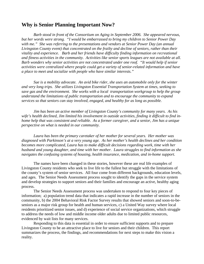# **Why is Senior Planning Important Now?**

*Barb stood in front of the Consortium on Aging in September 2006. She appeared nervous, but her words were strong. "I would be embarrassed to bring my children to Senior Power Day with me." She was referring to the presentations and vendors at Senior Power Day (an annual Livingston County event) that concentrated on the frailty and decline of seniors, rather than their vitality and experience. Barb and her friends have difficulty finding information on recreational and fitness activities in the community. Activities like senior sports leagues are not available at all. Barb wonders why senior activities are not concentrated under one roof. "It would help if senior activities were centralized where people could get a variety of senior-related information and have a place to meet and socialize with people who have similar interests."* 

 *Sue is a mobility advocate. An avid bike rider, she uses an automobile only for the winter and very long trips. She utilizes Livingston Essential Transportation System at times, seeking to save gas and the environment. She works with a local transportation workgroup to help the group understand the limitations of public transportation and to encourage the community to expand services so that seniors can stay involved, engaged, and healthy for as long as possible.* 

 *Jim has been an active member of Livingston County's community for many years. As his wife's health declined, Jim limited his involvement in outside activities, finding it difficult to find inhome help that was consistent and reliable. As a former caregiver, and a senior, Jim has a unique perspective on what is needed in our community.* 

 *Laura has been the primary caretaker of her mother for several years. Her mother was diagnosed with Parkinson's at a very young age. As her mother's health declines and her condition becomes more complicated, Laura has to make difficult decisions regarding work, time with her husband and young daughter, and time with her mother. Laura struggles to find information as she navigates the confusing systems of housing, health insurance, medication, and in-home support.* 

The names have been changed in these stories, however these are real life examples of Livingston County residents who seek to live life to the fullest but struggle with the limitations of the county's system of senior services. All four come from different backgrounds, education levels, and ages. The Senior Needs Assessment process sought to identify the gaps in the service system and develop strategies to support seniors and their families and encourage an active, healthy aging process.

 The Senior Needs Assessment process was undertaken to respond to four key pieces of information; a) population trend data that indicates a rapid increase in the number of seniors in the community, b) the 2004 Behavioral Risk Factor Survey results that showed seniors and soon-to-beseniors as a major risk group for health and human services, c) a United Way survey where local residents prioritized senior issues, and d) experience of social service organizations, which struggle to address the needs of low and middle income older adults due to limited public resources, evidenced by wait lists for many services.

Responding to this data is essential in order to ensure sufficient supports and to prepare Livingston County to be an attractive place to live for seniors and their children. This report summarizes the process, the findings, and recommendations for next steps to make this vision a reality.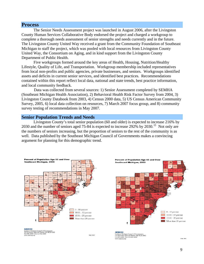# **Process**

The Senior Needs Assessment project was launched in August 2006, after the Livingston County Human Services Collaborative Body endorsed the project and charged a workgroup to complete a thorough needs assessment of senior strengths and needs currently and in the future. The Livingston County United Way received a grant from the Community Foundation of Southeast Michigan to staff the project, which was pooled with local resources from Livingston County United Way, the Consortium on Aging, and in kind support from the Livingston County Department of Public Health.

 Five workgroups formed around the key areas of Health, Housing, Nutrition/Healthy Lifestyle, Quality of Life, and Transportation. Workgroup membership included representatives from local non-profits and public agencies, private businesses, and seniors. Workgroups identified assets and deficits in current senior services, and identified best practices. Recommendations contained within this report reflect local data, national and state trends, best practice information, and local community feedback.

 Data was collected from several sources: 1) Senior Assessment completed by SEMHA (Southeast Michigan Health Association), 2) Behavioral Health Risk Factor Survey from 2004, 3) Livingston County Databook from 2003, 4) Census 2000 data, 5) US Census American Community Survey, 2005, 6) local data collection on resources, 7) March 2007 focus group, and 8) community survey testing of recommendations in May 2007.

# **Senior Population Trends and Needs**

 Livingston County's total senior population (60 and older) is expected to increase 216% by 2030 and the number of seniors aged 75-84 is expected to increase 292% by 2030.[15](#page-2-1) Not only are the numbers of seniors increasing, but the proportion of seniors to the rest of the community is as well. Data published by the Southeast Michigan Council of Governments makes a convincing argument for planning for this demographic trend.

May 2002



Southeast Michigan Council of Governments<br>535 Griswold, Suite 300 Detroit, MI 48226-3602<br>313-961-4266 • Fax 313-961-4869

og.org



**SEMCOG SEMCOG**<br>Southeast Michigan Council of Governments<br>535 Griswold, Suite 300 Detroit, MI 48226-3602<br>313-961-4266 + Fax 313-961-4869<br>331-951 emporator cog.org

May 2002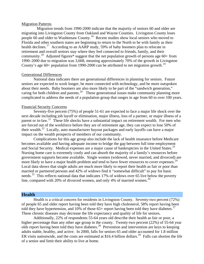#### Migration Patterns

Migration trends from 1990-2000 indicate that the majority of seniors 60 and older are migrating into Livingston County from Oakland and Wayne Counties. Livingston County loses people 60 and older to Washtenaw County.<sup>[16](#page-2-1)</sup> Recent studies show local seniors who moved to Florida and other southern states are beginning to return to the North to be with family as their health declines.<sup>[17](#page-2-1)</sup> According to an AARP study, 59% of baby boomers plan to relocate in retirement and overall seniors stay where they feel connected to friends, family, and their community.<sup>[18](#page-2-1)</sup> Adjusted figures\* suggest that the net population growth of persons age 60+ from 1990–2000 due to migration was 3,668, meaning approximately 70% of the growth in Livingston County's age 60+ population from [19](#page-2-1)90-2000 can be attributed to net migration growth.<sup>19</sup>

#### Generational Differences

 National data indicates there are generational differences in planning for seniors. Future seniors are expected to work longer, be more connected with technology, and be more outspoken about their needs. Baby boomers are also more likely to be part of the "sandwich generation," caring for both children and parents.<sup>[20](#page-2-1)</sup> These generational issues make community planning more complicated to address the needs of a population group that ranges in age from 60 to over 100 years.

#### Financial Security Concerns

 Seventy-five percent (75%) of people 51-61 are expected to face a major life shock over the next decade including job layoff or elimination, major illness, loss of a partner, or major illness of a parent or in-law.<sup>[21](#page-2-1)</sup> These life shocks have a substantial impact on retirement wealth. For men who are forced out of the workforce before they are of retirement age, they can expect to lose 50% of their wealth.<sup>[22](#page-2-1)</sup> Locally, auto manufacturer buyout packages and early layoffs can have a major impact on the wealth prospects of members of our community.

Complications for this age group also include the lack of health insurance before Medicare becomes available and having adequate income to bridge the gap between full time employment and Social Security. Medical expenses are a major cause of bankruptcies in the United States.<sup>[23](#page-2-1)</sup> Nursing home care is extremely costly and can absorb the majority of a family's resources before government supports become available. Single women (widowed, never married, and divorced) are more likely to have a major health problem and tend to have fewer resources to cover expenses.<sup>[24](#page-2-1)</sup> Local data shows that single adults are much more likely to report their health as fair or poor than married or partnered persons and 42% of widows find it "somewhat difficult" to pay for basic needs.<sup>[25](#page-2-1)</sup> This reflects national data that indicates 17% of widows over 65 live below the poverty line, compared with 20% of divorced women, and only 4% of married women.<sup>[26](#page-2-1)</sup>

## **Health**

 Health is a critical concern for residents in Livingston County. Seventy-two percent (72%) of people 65 and older report having been told they have high cholesterol, 58% report having been told they have hypertension, and 10% of those  $65+$  report having been told they have diabetes.<sup>[27](#page-2-1)</sup> These chronic diseases may decrease the life expectancy and quality of life for seniors.

 Additionally, 22% of respondents 55-64 years old describe their health as fair or poor, a higher percentage than any other age group in the county. Twenty-two percent (22%) of 55-64 year olds report having been told they have diabetes.[28](#page-2-1) Prevention and intervention are keys to keeping adults stable, healthy, and active. In 2000, falls for seniors 65 and older accounted for 1.8 million ER visits nationwide, and the costs are estimated at \$16.4 billion dollars.<sup>[29](#page-2-1)</sup> Falls can shorten the life of a senior and limit their ability to live at home.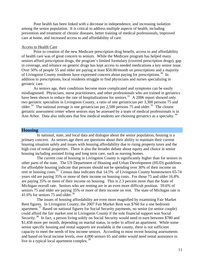Poor health has been linked with a decrease in independence, and increasing isolation among the senior population. It is critical to address multiple aspects of health, including prevention and treatment of chronic diseases, better training of medical professionals, improved care at home, and increased access to and affordability of care.

#### Access to Health Care

Prior to creation of the new Medicare prescription drug benefit, access to and affordability of health care was of great concern to seniors. While the Medicare program has helped many seniors afford prescription drugs, the program's limited formulary (covered prescription drugs), gap in coverage, and reliance on generic drugs has kept access to needed medications a key senior issue. Over 50% of people 55 and older are paying at least \$50.00/month on prescriptions and a majority of Livingston County residents have expressed concern about paying for prescriptions.<sup>[30](#page-2-1)</sup> In addition to prescriptions, local residents struggle to find physicians and nurses specializing in geriatric care.

 As seniors age, their conditions become more complicated and symptoms can be easily misdiagnosed. Physicians, nurse practitioners, and other professionals who are trained in geriatrics have been shown to reduce the rate of hospitalizations for seniors.<sup>[31](#page-2-1)</sup> A 2006 report showed only two geriatric specialists in Livingston County, a ratio of one geriatrician per 3,300 persons 75 and older.<sup>[32](#page-2-1)</sup> The national average is one geriatrician per 2,500 persons 75 and older.<sup>[33](#page-2-1)</sup> The closest geriatric assessment center where seniors may be assessed by a team of medical professionals is in Ann Arbor. Data also indicates that few medical students are choosing geriatrics as a specialty.<sup>[34](#page-2-1)</sup>

# **Housing**

 In national, state, and local data and dialogue about the senior population, housing is a primary concern. As seniors age there are questions about their ability to maintain their current housing situation safely and issues with housing affordability due to rising property taxes and the high cost of rental properties. There is also the broader debate about equity and choice in senior housing including assisted living and long term care, such as nursing homes.

 The current cost of housing in Livingston County is significantly higher than for seniors in other parts of the state. The US Department of Housing and Urban Development (HUD) guidelines for affordable housing indicate that persons should not be spending over 30% of their income on rent or housing costs.<sup>[35](#page-2-1)</sup> Census data indicates that  $14.5\%$  of Livingston County homeowners 65-74 years old are paying 35% or more of their income on housing costs. For those 75 and older 16.8% are paying 35% or more of their income on housing. This is 2.3 percent more than the State of Michigan overall rate. Seniors who are renting are in an even more difficult position. 59.6% of seniors 75 and older are paying 35% or more of their income on rent. The state of Michigan rate is 41.6% for seniors 75 and older. $36$ 

 The issues of housing affordability are even more magnified by examining Fair Market Rent figures. In Livingston County, the 2007 Fair Market Rent was \$760 for a one bedroom apartment.<sup>[37](#page-2-1)</sup> Based on national figures for Social Security payments, no senior (or senior couple) could afford the fair market rent in Livingston County if the sole financial support was Social Security.<sup>[38](#page-3-0)</sup> In fact, a person living solely on Social Security would need to earn between \$780 and \$1,458 more per month, depending on marital status, in order to afford an apartment. While some senior specific housing and rental supports are available in the county, there is not sufficient capacity to meet the needs of low income seniors. According to most recent housing assessments and based on local income levels, over 4,000 seniors 65 and older would need rental assistance to live in a typical local apartment complex. $39$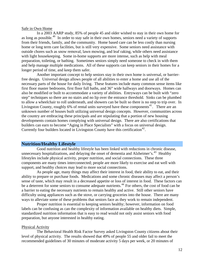#### Safe in Own Home

In a 2003 AARP study, 85% of people 45 and older wished to stay in their own home for as long as possible.<sup>[40](#page-3-0)</sup> In order to stay safe in their own homes, seniors need a variety of supports from their friends, family, and the community. Home based care can be less costly than nursing home or long term care facilities, but is still very expensive. Some seniors need assistance with outside chores such as snow removal, lawn mowing, and leaf raking, while others need assistance with light housekeeping. Some in-home supports are more intense, such as help with meal preparation, toileting, or bathing. Sometimes seniors simply need someone to check in with them and help manage multiple medications. All of these supports can keep seniors in their homes for a longer period of time, and keep them safer.

 Another important concept to help seniors stay in their own home is universal, or barrierfree design. Universal design allows people of all abilities to enter a home and use all of the necessary parts of the house for daily living. These features include many common sense items like first floor master bedrooms, first floor full baths, and 36" wide hallways and doorways. Homes can also be modified or built to accommodate a variety of abilities. Entryways can be built with "zero step" techniques so there are no stairs and no lip over the entrance threshold. Sinks can be plumbed to allow a wheelchair to roll underneath, and showers can be built so there is no step to trip over. In Livingston County, roughly 6% of rental units surveyed have these components<sup>[41](#page-3-0)</sup>. There are an unknown number of houses built utilizing universal design concepts. However, communities across the country are embracing these principals and are stipulating that a portion of new housing developments contain homes complying with universal design. There are also certifications that builders can earn to become "Aging in Place Specialists" with a focus on universal design. Currently four builders located in Livingston County have this certification<sup>[42](#page-3-0)</sup>.

#### **Nutrition/Healthy Lifestyle**

 Good nutrition and healthy lifestyle has been linked with reductions in chronic disease, unnecessary hospitalizations, and delaying the onset of dementia and Alzheimer's.<sup>[43](#page-3-0)</sup> Healthy lifestyles include physical activity, proper nutrition, and social connections. These three components are many times interconnected; people are more likely to exercise and eat well with support, and healthy choices may lead to more social connections.

 As people age, many things may affect their interest in food, their ability to eat, and their ability to prepare or purchase foods. Medications and some chronic diseases may affect a person's sense of taste, which may result in a decreased appetite or loss of interest in food. These factors can be a deterrent for some seniors to consume adequate nutrients.<sup>[44](#page-3-0)</sup> For others, the cost of food can be a barrier to eating the necessary nutrients to remain healthy and active. Still other seniors have difficulty using appliances such as the stove, or carrying groceries into the house. There are many ways to alleviate some of these problems that seniors face as they work to remain independent.

 Proper nutrition is essential to keeping seniors healthy; however, information on food labels can be confusing as can the complexity of information available on healthy diets. Simple, standardized nutrition information that is easy to read would not only assist seniors with food preparation, but anyone interested in healthy eating.

#### Physical Activity

 The Behavioral Health Risk Factor Survey asked Livingston County citizens about their level of physical activity. The results showed that 49% of people 55 and older fail to meet the recommended guidelines of 30 minutes of moderate activity 5 days per week, or 20 minutes of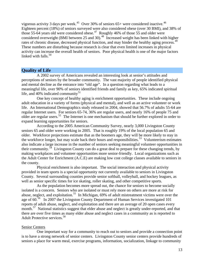vigorous activity 3 days per week.<sup>[45](#page-3-0)</sup> Over 30% of seniors  $65+$  were considered inactive.<sup>[46](#page-3-0)</sup> Eighteen percent (18%) of seniors surveyed were also considered obese (over 30 BMI), and 38% of those 55-64 years old were considered obese.<sup>[47](#page-3-0)</sup> Roughly 46% of those 55 and older were considered overweight (BMI between 25 and 30).<sup>[48](#page-3-0)</sup> Increased weight has been linked with higher rates of chronic disease, decreased physical function, and may hinder the healthy aging process.<sup>[49](#page-3-0)</sup> linked with falls.<sup>50</sup> These numbers are disturbing because research is clear that even limited increases in physical activity can increase the overall health of seniors. Poor physical health is one of the major factors

# **Quality of Life**

 A 2002 survey of Americans revealed an interesting look at senior's attitudes and perceptions of seniors by the broader community. The vast majority of people identified physical and mental decline as the entrance into "old age". In a question regarding what leads to a meaningful life, over 90% of seniors identified friends and family as key, 65% indicated spiritual life, and 40% indicated community $51$ 

 One key concept of healthy aging is enrichment opportunities. These include ongoing adult education in a variety of forms (physical and mental), and well as an active volunteer or work life. An International Demographics study released in 2004, showed that 56.7% of adults 55-64 are regular Internet users. For seniors 65-74, 36% are regular users, and nearly 16% of people 75 and older are regular users.<sup>[52](#page-3-0)</sup> The Internet is one mechanism that should be further explored in order to expand learning opportunities for seniors.

 According to the 2005 American Community Survey, nearly 3,000 Livingston County seniors 65 and older were working in 2005. That is roughly 19% of the local population 65 and older. Workforce projections estimate that as the boomers age, they will be more likely to stay in the workforce longer, but may scale back their hours and responsibilities.<sup>[53](#page-3-0)</sup> Volunteerism estimates also indicate a large increase in the number of seniors seeking meaningful volunteer opportunities in their community.<sup>[54](#page-3-0)</sup> Livingston County can do a great deal to prepare for these changing trends, by making workplaces and volunteer opportunities more senior-friendly. Local organizations such as the Adult Center for Enrichment (A.C.E) are making low cost college classes available to seniors in the county.

 Physical enrichment is also important. The social interaction and physical activity provided in team sports is a special opportunity not currently available to seniors in Livingston County. Several surrounding counties provide senior softball, volleyball, and hockey leagues, as well as senior specific times for ice skating, roller skating, and other competitive sports.

 As the population becomes more spread out, the chance for seniors to become socially isolated is a concern. Seniors who are isolated or must rely more on others are more at risk for abuse, neglect, and exploitation.<sup>[55](#page-3-0)</sup> In Michigan, 69% of adult mistreatment victims were over the age of 60.<sup>[56](#page-3-0)</sup> In 2007 the Livingston County Department of Human Services investigated 101 reports of adult abuse, neglect, and exploitation and there are an average of 20 open cases every month.<sup>[57](#page-3-0)</sup> National statistics suggest that elder abuse and neglect is greatly under-reported, and that there are over five times as many elder abuse and neglect cases in a community as is reported to Adult Protective services.<sup>[58](#page-3-0)</sup>

#### Senior Centers

 One important way for a community to reach out to seniors and provide a connection point is to have a strong network of senior centers. Livingston County senior centers provide hundreds of seniors a place for warm meal, exercise programs, information, socialization, linkage to community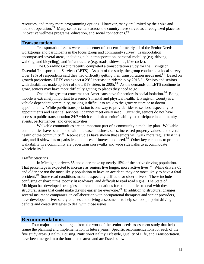resources, and many more programming options. However, many are limited by their size and hours of operation.<sup>[59](#page-3-0)</sup> Many senior centers across the country have served as a recognized place for innovative wellness programs, education, and social connections.  $60$ 

# **Transportation**

 Transportation issues were at the center of concern for nearly all of the Senior Needs workgroups and participants in the focus group and community survey. Transportation encompassed several areas, including public transportation, personal mobility (e.g. driving, walking, and bicycling), and infrastructure (e.g. roads, sidewalks, bike racks).

 The Corradino Group recently completed a transportation study for the Livingston Essential Transportation Services (LETS). As part of the study, the group conducted a local survey. Over 12% of respondents said they had difficulty getting their transportation needs met.<sup>[61](#page-3-0)</sup> Based on growth projections, LETS can expect a 29% increase in ridership by  $2015$ .<sup>[62](#page-3-0)</sup> Seniors and seniors with disabilities made up 60% of the LETS riders in 2005.<sup>[63](#page-3-0)</sup> As the demands on LETS continue to grow, seniors may have more difficulty getting to places they need to go.

One of the greatest concerns that Americans have for seniors is social isolation.<sup>[64](#page-3-0)</sup> Being mobile is extremely important to a senior's mental and physical health. Livingston County is a vehicle dependent community, making it difficult to walk to the grocery store or to doctor appointments. While public transportation is one way to provide rides to seniors, especially to appointments and essential services, it cannot meet every need. Currently, seniors do not have access to public transportation 24/7 which can limit a senior's ability to participate in community events, performances, and civic activities.

 Walkable communities are an important part of a community's mobility plan. Walkable communities have been linked with increased business sales, increased property values, and overall health of the community.<sup>[65](#page-3-0)</sup> Recent studies have shown that seniors will walk more regularly if it is safe, and if sidewalks or paths lead to places of interest and need.<sup>[66](#page-3-0)</sup> Other key elements to promote walkability in a community are pedestrian crosswalks and wide sidewalks to accommodate wheelchairs.<sup>[67](#page-3-0)</sup>

## Traffic Statistics

 In Michigan, drivers 65 and older make up nearly 15% of the active driving population. That percentage is expected to increase as seniors live longer, more active lives.<sup>[68](#page-3-0)</sup> While drivers 65 and older *are not* the most likely population to have an accident, they *are* most likely to have a fatal accident.<sup>[69](#page-3-0)</sup> Some road conditions make it especially difficult for older drivers. These include confusing or sharp turns, poorly lit roadways, and difficult to read road signs. The State of Michigan has developed strategies and recommendations for communities to deal with these structural issues that could make driving easier for everyone.<sup>[70](#page-3-0)</sup> In addition to structural changes, several insurance companies, in collaboration with occupational therapists and senior providers, have developed driver safety courses and driving assessments to help seniors pinpoint driving deficits and create strategies to deal with those issues.

# **Recommendations**

Four major themes emerged from the work of the senior needs assessment study that help frame the planning and implementation in future years. Specific recommendations for each of the five study areas (Health, Housing, Nutrition/Healthy Lifestyle, Quality of Life, and Transportation) have been merged into the four theme areas and are listed below.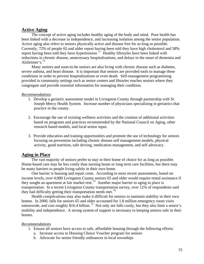# **Active Aging**

The concept of active aging includes healthy aging of the body and mind. Poor health has been linked with a decrease in independence, and increasing isolation among the senior population. Active aging also refers to seniors physically active and disease free for as long as possible. Currently, 72% of people 65 and older report having been told they have high cholesterol and 58% report having been told they have hypertension.<sup>[71](#page-3-0)</sup> Healthy lifestyles have been linked with reductions in chronic disease, unnecessary hospitalizations, and delays in the onset of dementia and Alzheimer's.<sup>[72](#page-3-0)</sup>

Many seniors and soon-to-be seniors are also living with chronic disease such as diabetes, severe asthma, and heart disease. It is important that seniors are provided tools to manage these conditions in order to prevent hospitalizations or even death. Self-management programming provided in community settings such as senior centers and libraries reaches seniors where they congregate and provide essential information for managing their condition.

## *Recommendations*

- 1. Develop a geriatric assessment model in Livingston County through partnership with St. Joseph Mercy Health System. Increase number of physicians specializing in geriatrics that practice in the county.
- 2. Encourage the use of existing wellness activities and the creation of additional activities based on programs and practices recommended by the National Council on Aging, other research based models, and local senior input.
- 3. Provide education and training opportunities and promote the use of technology for seniors focusing on prevention including chronic disease self management models, physical activity, good nutrition, safe driving, medication management, and self advocacy.

# **Aging in Place**

The vast majority of seniors prefer to stay in their home of choice for as long as possible. Home-based care may be less costly than nursing home or long term care facilities, but there may be many barriers to people living safely in their own home.

One barrier is housing and repair costs. According to most recent assessments, based on income levels, over 4,000 Livingston County seniors 65 and older would require rental assistance if they sought an apartment at fair market rent.<sup>[73](#page-3-0)</sup> Another major barrier to aging in place is transportation. In a recent Livingston County transportation survey, over 12% of respondents said they had difficulty getting their transportation needs met.<sup>[74](#page-3-0)</sup>

Health complications may also make it difficult for seniors to maintain stability in their own homes. In 2000, falls for seniors 65 and older accounted for 1.8 million emergency room visits nationwide, and cost roughly \$16.4 billion.<sup>[75](#page-3-0)</sup> Not only are falls costly, but they also limit a senior's mobility and independence. A strong system of support is necessary to keeping seniors safe in their homes.

- 1. Ensure all seniors have access to safe, affordable housing through the following efforts:
	- a. Increase access to Housing Choice Voucher program for seniors
	- b. Advocate for senior friendly ordinances in local townships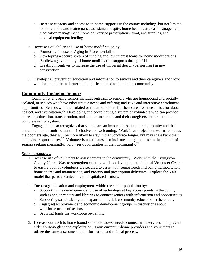- c. Increase capacity and access to in-home supports in the county including, but not limited to home chore and maintenance assistance, respite, home health care, case management, medication management, home delivery of prescriptions, food, and supplies, and medical equipment lending.
- 2. Increase availability and use of home modification by:
	- a. Promoting the use of Aging in Place specialists
	- b. Developing a secure stream of funding and low interest loans for home modifications
	- c. Publicizing availability of home modification supports through 211
	- d. Creating incentives to increase the use of universal design (barrier free) in new construction
- 3. Develop fall prevention education and information to seniors and their caregivers and work with local facilities to better track injuries related to falls in the community.

# **Community Engaging Seniors**

Community engaging seniors includes outreach to seniors who are homebound and socially isolated, or seniors who have other unique needs and offering inclusive and interactive enrichment opportunities. Seniors who are isolated or reliant on others for their care are more at risk for abuse, neglect, and exploitation.<sup>[76](#page-3-0)</sup> Developing and coordinating a system of volunteers who can provide outreach, education, transportation, and support to seniors and their caregivers are essential to a complete senior system.

Engagement also recognizes that seniors are an important asset to our community and that enrichment opportunities must be inclusive and welcoming. Workforce projections estimate that as the boomers age, they will be more likely to stay in the workforce longer, but may scale back their hours and responsibility.<sup>[77](#page-3-0)</sup> Volunteerism estimates also indicate a large increase in the number of seniors seeking meaningful volunteer opportunities in their community.<sup>[78](#page-3-0)</sup>

- 1. Increase use of volunteers to assist seniors in the community. Work with the Livingston County United Way to strengthen existing work on development of a local Volunteer Center to ensure pool of volunteers are secured to assist with senior needs including transportation, home chores and maintenance, and grocery and prescription deliveries. Explore the Yale model that pairs volunteers with hospitalized seniors.
- 2. Encourage education and employment within the senior population by:
	- a. Supporting the development and use of technology at key access points in the county such as senior centers and libraries to connect seniors with information and opportunities
	- b. Supporting sustainability and expansion of adult community education in the county
	- c. Engaging employment and economic development groups in discussions about workforce needs of seniors
	- d. Securing funds for workforce re-training
- 3. Increase outreach to home bound seniors to assess needs, connect with services, and prevent elder abuse/neglect and exploitation. Train current in-home providers and volunteers to utilize the same assessment and information and referral process.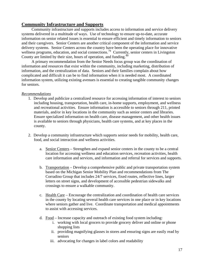# **Community Infrastructure and Supports**

 Community infrastructure and supports includes access to information and service delivery systems delivered in a multitude of ways. Use of technology to ensure up-to-date, accurate information on senior related issues is essential to ensure efficient and timely information to seniors and their caregivers. Senior Centers are another critical component of the information and service delivery systems. Senior Centers across the country have been the operating place for innovative wellness programs, education, and social connections.<sup>[79](#page-3-0)</sup> Currently, senior centers in Livingston County are limited by their size, hours of operation, and funding.<sup>[80](#page-3-0)</sup>

 A primary recommendation from the Senior Needs focus group was the coordination of information and resources that exist within the community, including marketing, distribution of information, and the centralization of data. Seniors and their families complain about how complicated and difficult it can be to find information when it is needed most. A coordinated information system, utilizing existing avenues is essential to creating tangible community changes for seniors.

- 1. Develop and publicize a centralized resource for accessing information of interest to seniors including housing, transportation, health care, in-home supports, employment, and wellness and recreational activities. Ensure information is accessible to seniors through 211, printed materials, and/or in key locations in the community such as senior centers and libraries. Ensure specialized information on health care, disease management, and other health issues is available to seniors through physicians, health care systems, and at key places in the county.
- 2. Develop a community infrastructure which supports senior needs for mobility, health care, food, and social interaction and wellness activities.
	- a. Senior Centers Strengthen and expand senior centers in the county to be a central location for accessing wellness and education services, recreation activities, health care information and services, and information and referral for services and supports.
	- b. Transportation Develop a comprehensive public and private transportation system based on the Michigan Senior Mobility Plan and recommendations from The Corradino Group that includes 24/7 services, fixed routes, reflective lines, larger letters on street signs, and development of accessible pedestrian sidewalks and crossings to ensure a walkable community.
	- c. Health Care Encourage the centralization and coordination of health care services in the county by locating several health care services in one place or in key locations where seniors gather and live. Coordinate transportation and medical appointments to assist with accessing services.
	- d. Food Increase capacity and outreach of existing food system including:
		- i. working with local grocers to provide grocery deliver and online or phone shopping lists
		- ii. providing magnifying glasses in stores and ensuring signs are easily read by seniors
		- iii. advocating for changes in label colors and readability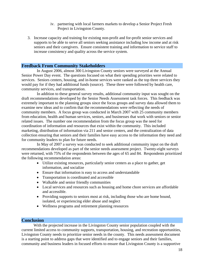- iv. partnering with local farmers markets to develop a Senior Project Fresh Project in Livingston County.
- 3. Increase capacity and training for existing non-profit and for-profit senior services and supports to be able to serve all seniors seeking assistance including low income and at risk seniors and their caregivers. Ensure consistent training and information to service staff to increase consistency and quality across the service system.

# **Feedback From Community Stakeholders**

 In August 2006, almost 300 Livingston County seniors were surveyed at the Annual Senior Power Day event. The questions focused on what their spending priorities were related to services. Seniors centers, housing, and in-home services were ranked as the top three services they would pay for if they had additional funds (source). These three were followed by health care, community services, and transportation.

 In addition to these general survey results, additional community input was sought on the draft recommendations developed by the Senior Needs Assessment task forces. This feedback was extremely important to the planning groups since the focus groups and survey data allowed them to examine new ideas and to confirm that the recommendations were reflecting the needs of community members. A focus group was conducted in March 2007 with 25 community members from education, health and human services, seniors, and businesses that work with seniors or senior related issues. The number one recommendation from the focus group was the need for coordination of information and resources that exist within the community. This included marketing, distribution of information via 211 and senior centers, and the centralization of data collection ensuring that seniors and their families have easy access to the information they need and for community leaders to plan for future needs.

 In May of 2007 a survey was conducted to seek additional community input on the draft recommendations developed as part of the senior needs assessment project. Twenty-eight surveys were returned, with 75% of the respondents between the ages of 65 and 84. Respondents prioritized the following recommendation areas:

- Utilize existing resources, particularly senior centers as a place to gather, get information, and socialize
- Ensure that information is easy to access and understandable
- Transportation is coordinated and accessible
- Walkable and senior friendly communities
- Local services and resources such as housing and home chore services are affordable and accessible.
- Providing supports to seniors most at risk, including those who are home bound, isolated, or experiencing elder abuse and neglect
- Wellness programs and retirement planning resources

# **Conclusion**

 With the projected increase in the Livingston County senior population coupled with the current limited access to community supports, transportation, housing, and recreation opportunities, Livingston County needs to prioritize senior needs in the county. This needs assessment document is a starting point to address gaps that were identified and to engage seniors and their families, community and business leaders in focused efforts to ensure that Livingston County is a supportive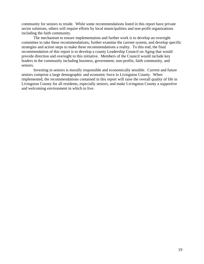community for seniors to reside. While some recommendations listed in this report have private sector solutions, others will require efforts by local municipalities and non-profit organizations including the faith community.

 The mechanism to ensure implementation and further work is to develop an oversight committee to take these recommendations, further examine the current system, and develop specific strategies and action steps to make these recommendations a reality. To this end, the final recommendation of this report is to develop a county Leadership Council on Aging that would provide direction and oversight to this initiative. Members of the Council would include key leaders in the community including business, government, non-profits, faith community, and seniors.

Investing in seniors is morally responsible and economically sensible. Current and future seniors comprise a large demographic and economic force in Livingston County. When implemented, the recommendations contained in this report will raise the overall quality of life in Livingston County for all residents, especially seniors, and make Livingston County a supportive and welcoming environment in which to live.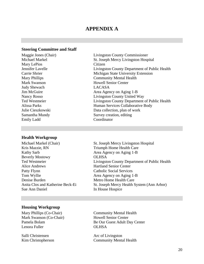# **APPENDIX A**

# **Steering Committee and Staff**

Mary LePios Citizen Judy Shewach LACASA Emily Ladd Coordinator

## **Health Workgroup**

Kris Mazzie, RN Triumph Home Health Care Kathy Sarb Area Agency on Aging 1-B Beverly Mostowy OLHSA Alice Andrews Hartland Senior Center Patty Flynn Catholic Social Services Tom Wyllie Area Agency on Aging 1-B Denise Burden Metro Home Health Care Sue Ann Daniel In House Hospice

# Maggie Jones (Chair) Livingston County Commissioner Michael Markel St. Joseph Mercy Livingston Hospital Jennifer Lavelle Livingston County Department of Public Health Carrie Shrier Michigan State University Extension Mary Phillips **Community Mental Health** Mark Swanson **Mark Swanson** Howell Senior Center Jim McGuire Area Agency on Aging 1-B Nancy Rosso Livingston County United Way Ted Westmeier Livingston County Department of Public Health Alissa Parks Human Services Collaborative Body Julie Cieszkowski Data collection, plan of work Samantha Mundy Survey creation, editing

Michael Markel (Chair) St. Joseph Mercy Livingston Hospital Ted Westmeier Livingston County Department of Public Health Anita Clos and Katherine Beck-Ei St. Joseph Mercy Health System (Ann Arbor)

# **Housing Workgroup**

Mark Swanson (Co-Chair) Howell Senior Center Lenora Fuller **OLHSA** 

Salli Christensen Arc of Livingston

Mary Phillips (Co-Chair) Community Mental Health Pamela Bolam Be Our Guest Adult Day Center

Kim Christopherson Community Mental Health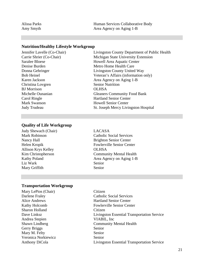| Alissa Parks | Human Services Collaborative Body |
|--------------|-----------------------------------|
| Amy Smyth    | Area Agency on Aging 1-B          |

# **Nutrition/Healthy Lifestyle Workgroup**

**Christina Lovgren** Senior Nutrition BJ Morrison OLHSA Carol Ringle **Hartland Senior Center** Mark Swanson **Howell Senior Center** 

Jennifer Lavelle (Co-Chair) Livingston County Department of Public Health Carrie Shrier (Co-Chair) Michigan State University Extension Howell Area Aquatic Center Denise Burden Metro Home Health Care Donna Gehringer Livingston County United Way Bob Heinel Veteran's Affairs (information only) Karen Jackson Area Agency on Aging 1-B Michelle Ounanian Gleaners Community Food Bank Judy Trudeau St. Joseph Mercy Livingston Hospital

## **Quality of Life Workgroup**

Judy Shewach (Chair) LACASA Nancy Hall Brighton Senior Center Allison Krys Kelley OLHSA Liz Wark Senior Mary Griffith Senior

Mark Robinson Catholic Social Services Helen Kropik Fowlerville Senior Center Kim Christopherson Community Mental Health Kathy Poland Area Agency on Aging 1-B

# **Transportation Workgroup**

Mary LePios (Chair) Citizen Sharon Holland Citizen Andrea Stepien VIABIL, Inc Gerry Briggs Senior Mary M. Felty Senior Veronica Norkiewicz Senior

Darlene Fraley Catholic Social Services Alice Andrews Hartland Senior Center Kathy Holcomb Fowlerville Senior Center Dave Linksz Livingston Essential Transportation Service Shawn Lindberg Community Mental Health Anthony DiCola Livingston Essential Transportation Service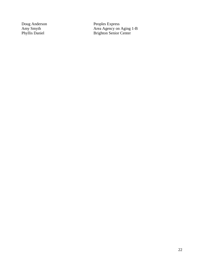Doug Anderson Peoples Express Amy Smyth Area Agency on Aging 1-B Phyllis Daniel **Brighton Senior Center**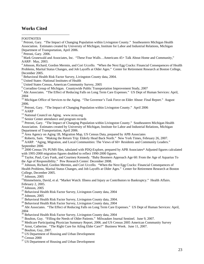# **Works Cited**

 $\overline{a}$ **FOOTNOTES** 

<sup>1</sup> Petroni, Gary. "The Impact of Changing Population within Livingston County." Southeastern Michigan Health Association. Estimates created by University of Michigan, Institute for Labor and Industrial Relations, Michigan Department of Transportation, April 2006.

<sup>3</sup> Mark Grunewald and Associates, Inc. "These Four Walls...Americans 45+ Talk About Home and Community," AARP: May, 2003.

<sup>4</sup> Johnson, Richard, Gordon Mermin, and Cori Uccello. "When the Next Egg Cracks: Financial Consequences of Health Problems, Marital Status Changes, and Job Layoffs at Older Ages." Center for Retirement Research at Boston College, December 2005.

<sup>5</sup> Behavioral Health Risk Factor Survey, Livingston County data, 2004.

6 United States -National Institutes of Health

<sup>7</sup> United States Census, American Community Survey, 2005<br><sup>8</sup> Correding Group of Mighigan, Countinuide Public Transpo

Corradino Group of Michigan. Countywide Public Transportation Improvement Study, 2007

<sup>9</sup> Abt Associates. "The Effect of Reducing Falls on Long Term Care Expenses." US Dept of Human Services: April, 2004

<sup>10</sup> Michigan Office of Services to the Aging. "The Governor's Task Force on Elder Abuse: Final Report." August 2006.

<sup>11</sup> Petroni, Gary. "The Impact of Changing Population within Livingston County." April 2006

 $^{12}$  AARP  $\,$ 

<sup>13</sup> National Council on Aging. www.ncoa.org

 $^{14}$  Senior Center attendance and program records

<sup>15</sup> Petroni, Gary. "The Impact of Changing Population within Livingston County." Southeastern Michigan Health Association. Estimates created by University of Michigan, Institute for Labor and Industrial Relations, Michigan Department of Transportation, April 2006.<br><sup>16</sup> Area Agency on Aging 1B, Migration Map, US Census Data, prepared by APB Associates

<sup>17</sup> Roberts, Sam. "Making the Return Trip: Elderly Head Back North." New York Times, February 26, 2007.<br><sup>18</sup> AARP. "Aging, Migration, and Local Communities: The Views of 60+ Residents and Community Leaders." September 2006

<sup>19</sup> 2000 Census 5% PUMS files, tabulated with PDQ-Explore, prepared by APB Associates\* Adjusted figures calculated with 1995-2000 migration figures doubled to reflect 1990-2000 figures.

<sup>20</sup> Taylor, Paul, Cary Funk, and Courtney Kennedy. "Baby Boomers Approach Age 60: From the Age of Aquarius To the Age of Responsibility." Pew Research Center: December 2008.

 $^{21}$  Johnson, Richard, Gordon Mermin, and Cori Uccello. "When the Next Egg Cracks: Financial Consequences of Health Problems, Marital Status Changes, and Job Layoffs at Older Ages." Center for Retirement Research at Boston College, December 2005.

 $22$  Johnson, 2005

 $^{23}$ Himmelstein, David, et al. "Market Watch: Illness and Injury as Contributors to Bankruptcy." Health Affairs. February 2, 2005. 24 Johnson, 2005

 $25$  Behavioral Health Risk Factor Survey, Livingston County data, 2004

26 Johnson, 2005

 $27$  Behavioral Health Risk Factor Survey, Livingston County data, 2004.

<sup>28</sup> Behavioral Health Risk Factor Survey, Livingston County data, 2004

<sup>29</sup> Abt Associates. "The Effect of Reducing Falls on Long Term Care Expenses." US Dept of Human Services: April, 2004

<sup>30</sup> Behavioral Health Risk Factor Survey, Livingston County data, 2004

 $31$  Boulton, Guy. "Filling the Needs of Older Patients." Milwaukee Journal Sentinel. June 9, 2007.<br> $32$  Medicare Participating Physician Summary Report, 2006. and US Census 2005 American Community Survey

<sup>33</sup> Arnst, Catherine. "The Right Cure for Ailing Elder Care?" Business Week. June 11, 2007.  $34$  Boulton, Guy, 2007.

36 Census 2000

 $2$  Petroni, Gary. 2006.

<sup>&</sup>lt;sup>35</sup> US Department of Housing and Urban Development

<sup>&</sup>lt;sup>37</sup> US Department of Housing and Urban Development